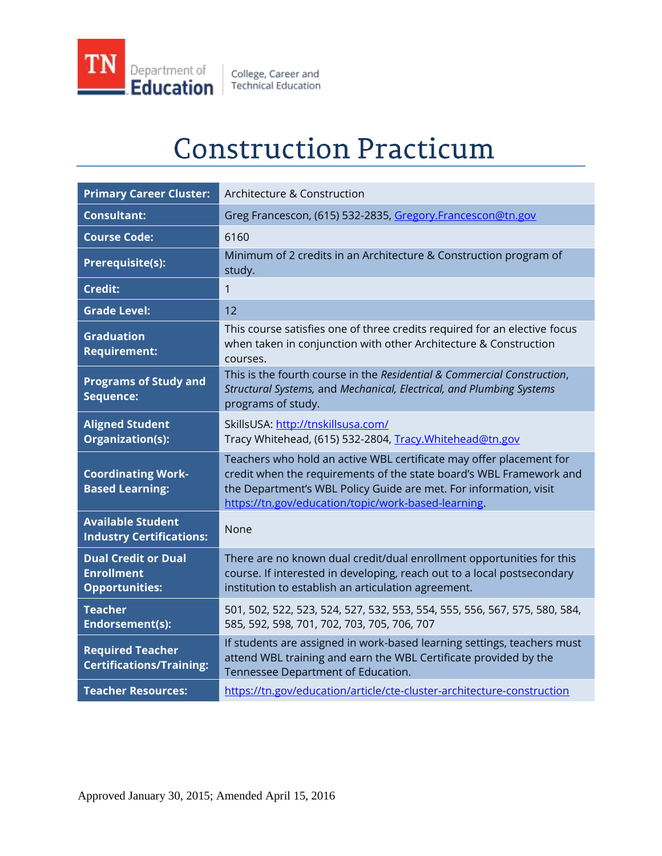

College, Career and<br>Technical Education

# **Construction Practicum**

| <b>Primary Career Cluster:</b>                                           | Architecture & Construction                                                                                                                                                                                                                                            |
|--------------------------------------------------------------------------|------------------------------------------------------------------------------------------------------------------------------------------------------------------------------------------------------------------------------------------------------------------------|
| <b>Consultant:</b>                                                       | Greg Francescon, (615) 532-2835, Gregory.Francescon@tn.gov                                                                                                                                                                                                             |
| <b>Course Code:</b>                                                      | 6160                                                                                                                                                                                                                                                                   |
| Prerequisite(s):                                                         | Minimum of 2 credits in an Architecture & Construction program of<br>study.                                                                                                                                                                                            |
| <b>Credit:</b>                                                           | 1                                                                                                                                                                                                                                                                      |
| <b>Grade Level:</b>                                                      | 12                                                                                                                                                                                                                                                                     |
| <b>Graduation</b><br><b>Requirement:</b>                                 | This course satisfies one of three credits required for an elective focus<br>when taken in conjunction with other Architecture & Construction<br>courses.                                                                                                              |
| <b>Programs of Study and</b><br>Sequence:                                | This is the fourth course in the Residential & Commercial Construction,<br>Structural Systems, and Mechanical, Electrical, and Plumbing Systems<br>programs of study.                                                                                                  |
| <b>Aligned Student</b><br>Organization(s):                               | SkillsUSA: http://tnskillsusa.com/<br>Tracy Whitehead, (615) 532-2804, Tracy. Whitehead@tn.gov                                                                                                                                                                         |
| <b>Coordinating Work-</b><br><b>Based Learning:</b>                      | Teachers who hold an active WBL certificate may offer placement for<br>credit when the requirements of the state board's WBL Framework and<br>the Department's WBL Policy Guide are met. For information, visit<br>https://tn.gov/education/topic/work-based-learning. |
| <b>Available Student</b><br><b>Industry Certifications:</b>              | None                                                                                                                                                                                                                                                                   |
| <b>Dual Credit or Dual</b><br><b>Enrollment</b><br><b>Opportunities:</b> | There are no known dual credit/dual enrollment opportunities for this<br>course. If interested in developing, reach out to a local postsecondary<br>institution to establish an articulation agreement.                                                                |
| <b>Teacher</b><br>Endorsement(s):                                        | 501, 502, 522, 523, 524, 527, 532, 553, 554, 555, 556, 567, 575, 580, 584,<br>585, 592, 598, 701, 702, 703, 705, 706, 707                                                                                                                                              |
| <b>Required Teacher</b><br><b>Certifications/Training:</b>               | If students are assigned in work-based learning settings, teachers must<br>attend WBL training and earn the WBL Certificate provided by the<br>Tennessee Department of Education.                                                                                      |
| <b>Teacher Resources:</b>                                                | https://tn.gov/education/article/cte-cluster-architecture-construction                                                                                                                                                                                                 |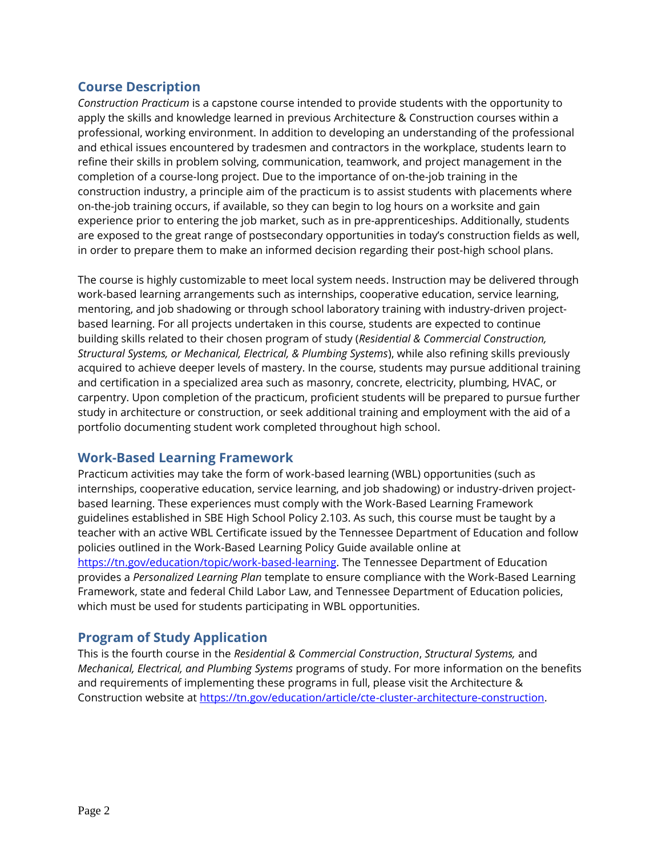## **Course Description**

*Construction Practicum* is a capstone course intended to provide students with the opportunity to apply the skills and knowledge learned in previous Architecture & Construction courses within a professional, working environment. In addition to developing an understanding of the professional and ethical issues encountered by tradesmen and contractors in the workplace, students learn to refine their skills in problem solving, communication, teamwork, and project management in the completion of a course-long project. Due to the importance of on-the-job training in the construction industry, a principle aim of the practicum is to assist students with placements where on-the-job training occurs, if available, so they can begin to log hours on a worksite and gain experience prior to entering the job market, such as in pre-apprenticeships. Additionally, students are exposed to the great range of postsecondary opportunities in today's construction fields as well, in order to prepare them to make an informed decision regarding their post-high school plans.

The course is highly customizable to meet local system needs. Instruction may be delivered through work-based learning arrangements such as internships, cooperative education, service learning, mentoring, and job shadowing or through school laboratory training with industry-driven projectbased learning. For all projects undertaken in this course, students are expected to continue building skills related to their chosen program of study (*Residential & Commercial Construction, Structural Systems, or Mechanical, Electrical, & Plumbing Systems*), while also refining skills previously acquired to achieve deeper levels of mastery. In the course, students may pursue additional training and certification in a specialized area such as masonry, concrete, electricity, plumbing, HVAC, or carpentry. Upon completion of the practicum, proficient students will be prepared to pursue further study in architecture or construction, or seek additional training and employment with the aid of a portfolio documenting student work completed throughout high school.

## **Work-Based Learning Framework**

Practicum activities may take the form of work-based learning (WBL) opportunities (such as internships, cooperative education, service learning, and job shadowing) or industry-driven projectbased learning. These experiences must comply with the Work-Based Learning Framework guidelines established in SBE High School Policy 2.103. As such, this course must be taught by a teacher with an active WBL Certificate issued by the Tennessee Department of Education and follow policies outlined in the Work-Based Learning Policy Guide available online at [https://tn.gov/education/topic/work-based-learning.](https://tn.gov/education/topic/work-based-learning) The Tennessee Department of Education provides a *Personalized Learning Plan* template to ensure compliance with the Work-Based Learning Framework, state and federal Child Labor Law, and Tennessee Department of Education policies, which must be used for students participating in WBL opportunities.

## **Program of Study Application**

This is the fourth course in the *Residential & Commercial Construction*, *Structural Systems,* and *Mechanical, Electrical, and Plumbing Systems* programs of study. For more information on the benefits and requirements of implementing these programs in full, please visit the Architecture & Construction website at [https://tn.gov/education/article/cte-cluster-architecture-construction.](https://tn.gov/education/article/cte-cluster-architecture-construction)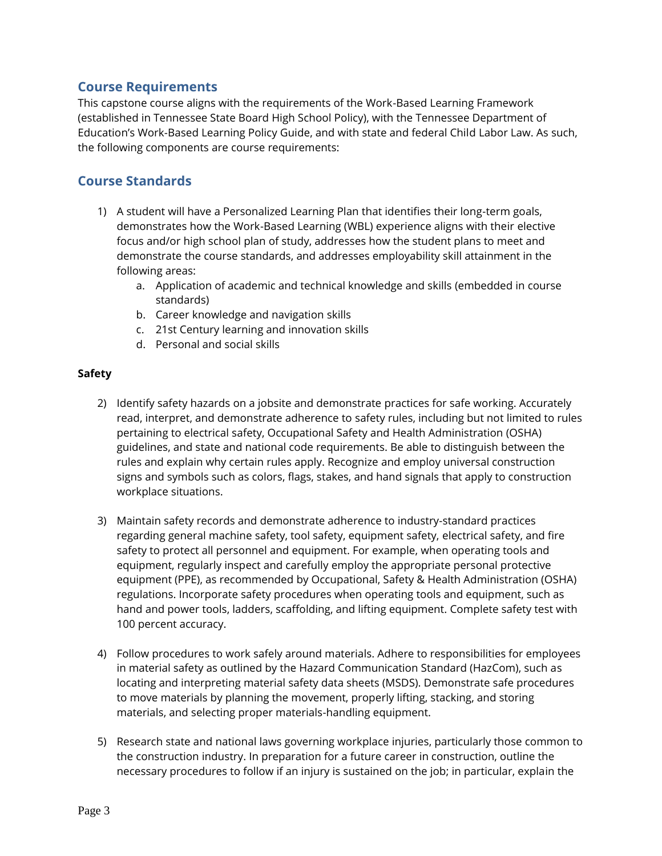## **Course Requirements**

This capstone course aligns with the requirements of the Work-Based Learning Framework (established in Tennessee State Board High School Policy), with the Tennessee Department of Education's Work-Based Learning Policy Guide, and with state and federal Child Labor Law. As such, the following components are course requirements:

# **Course Standards**

- 1) A student will have a Personalized Learning Plan that identifies their long-term goals, demonstrates how the Work-Based Learning (WBL) experience aligns with their elective focus and/or high school plan of study, addresses how the student plans to meet and demonstrate the course standards, and addresses employability skill attainment in the following areas:
	- a. Application of academic and technical knowledge and skills (embedded in course standards)
	- b. Career knowledge and navigation skills
	- c. 21st Century learning and innovation skills
	- d. Personal and social skills

## **Safety**

- 2) Identify safety hazards on a jobsite and demonstrate practices for safe working. Accurately read, interpret, and demonstrate adherence to safety rules, including but not limited to rules pertaining to electrical safety, Occupational Safety and Health Administration (OSHA) guidelines, and state and national code requirements. Be able to distinguish between the rules and explain why certain rules apply. Recognize and employ universal construction signs and symbols such as colors, flags, stakes, and hand signals that apply to construction workplace situations.
- 3) Maintain safety records and demonstrate adherence to industry-standard practices regarding general machine safety, tool safety, equipment safety, electrical safety, and fire safety to protect all personnel and equipment. For example, when operating tools and equipment, regularly inspect and carefully employ the appropriate personal protective equipment (PPE), as recommended by Occupational, Safety & Health Administration (OSHA) regulations. Incorporate safety procedures when operating tools and equipment, such as hand and power tools, ladders, scaffolding, and lifting equipment. Complete safety test with 100 percent accuracy.
- 4) Follow procedures to work safely around materials. Adhere to responsibilities for employees in material safety as outlined by the Hazard Communication Standard (HazCom), such as locating and interpreting material safety data sheets (MSDS). Demonstrate safe procedures to move materials by planning the movement, properly lifting, stacking, and storing materials, and selecting proper materials-handling equipment.
- 5) Research state and national laws governing workplace injuries, particularly those common to the construction industry. In preparation for a future career in construction, outline the necessary procedures to follow if an injury is sustained on the job; in particular, explain the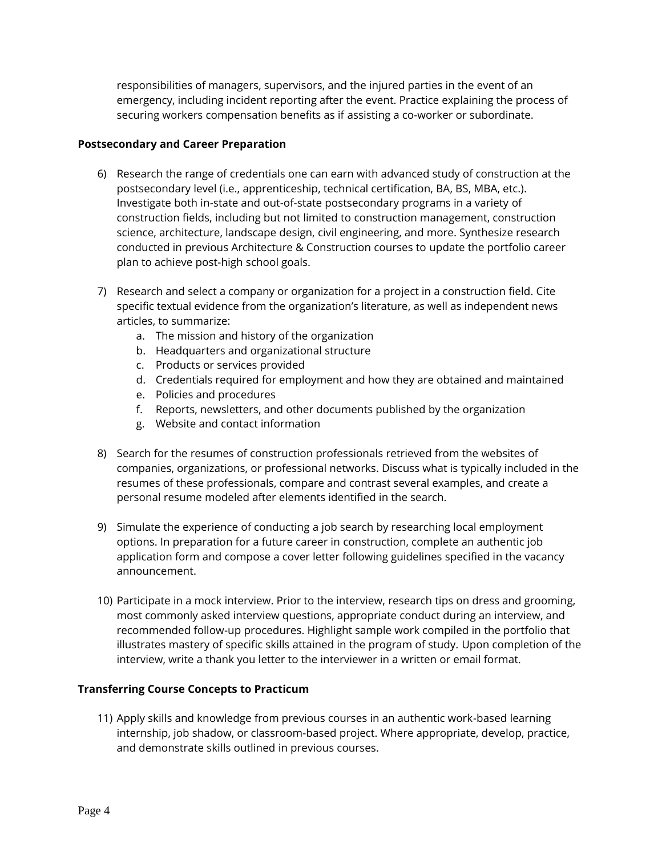responsibilities of managers, supervisors, and the injured parties in the event of an emergency, including incident reporting after the event. Practice explaining the process of securing workers compensation benefits as if assisting a co-worker or subordinate.

#### **Postsecondary and Career Preparation**

- 6) Research the range of credentials one can earn with advanced study of construction at the postsecondary level (i.e., apprenticeship, technical certification, BA, BS, MBA, etc.). Investigate both in-state and out-of-state postsecondary programs in a variety of construction fields, including but not limited to construction management, construction science, architecture, landscape design, civil engineering, and more. Synthesize research conducted in previous Architecture & Construction courses to update the portfolio career plan to achieve post-high school goals.
- 7) Research and select a company or organization for a project in a construction field. Cite specific textual evidence from the organization's literature, as well as independent news articles, to summarize:
	- a. The mission and history of the organization
	- b. Headquarters and organizational structure
	- c. Products or services provided
	- d. Credentials required for employment and how they are obtained and maintained
	- e. Policies and procedures
	- f. Reports, newsletters, and other documents published by the organization
	- g. Website and contact information
- 8) Search for the resumes of construction professionals retrieved from the websites of companies, organizations, or professional networks. Discuss what is typically included in the resumes of these professionals, compare and contrast several examples, and create a personal resume modeled after elements identified in the search.
- 9) Simulate the experience of conducting a job search by researching local employment options. In preparation for a future career in construction, complete an authentic job application form and compose a cover letter following guidelines specified in the vacancy announcement.
- 10) Participate in a mock interview. Prior to the interview, research tips on dress and grooming, most commonly asked interview questions, appropriate conduct during an interview, and recommended follow-up procedures. Highlight sample work compiled in the portfolio that illustrates mastery of specific skills attained in the program of study. Upon completion of the interview, write a thank you letter to the interviewer in a written or email format.

#### **Transferring Course Concepts to Practicum**

11) Apply skills and knowledge from previous courses in an authentic work-based learning internship, job shadow, or classroom-based project. Where appropriate, develop, practice, and demonstrate skills outlined in previous courses.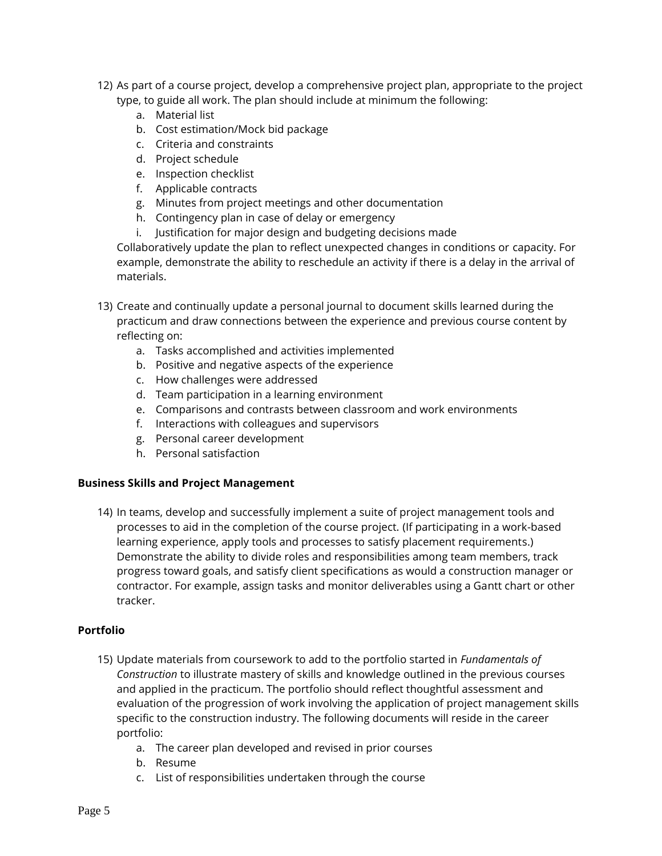- 12) As part of a course project, develop a comprehensive project plan, appropriate to the project type, to guide all work. The plan should include at minimum the following:
	- a. Material list
	- b. Cost estimation/Mock bid package
	- c. Criteria and constraints
	- d. Project schedule
	- e. Inspection checklist
	- f. Applicable contracts
	- g. Minutes from project meetings and other documentation
	- h. Contingency plan in case of delay or emergency
	- i. Justification for major design and budgeting decisions made

Collaboratively update the plan to reflect unexpected changes in conditions or capacity. For example, demonstrate the ability to reschedule an activity if there is a delay in the arrival of materials.

- 13) Create and continually update a personal journal to document skills learned during the practicum and draw connections between the experience and previous course content by reflecting on:
	- a. Tasks accomplished and activities implemented
	- b. Positive and negative aspects of the experience
	- c. How challenges were addressed
	- d. Team participation in a learning environment
	- e. Comparisons and contrasts between classroom and work environments
	- f. Interactions with colleagues and supervisors
	- g. Personal career development
	- h. Personal satisfaction

#### **Business Skills and Project Management**

14) In teams, develop and successfully implement a suite of project management tools and processes to aid in the completion of the course project. (If participating in a work-based learning experience, apply tools and processes to satisfy placement requirements.) Demonstrate the ability to divide roles and responsibilities among team members, track progress toward goals, and satisfy client specifications as would a construction manager or contractor. For example, assign tasks and monitor deliverables using a Gantt chart or other tracker.

#### **Portfolio**

- 15) Update materials from coursework to add to the portfolio started in *Fundamentals of Construction* to illustrate mastery of skills and knowledge outlined in the previous courses and applied in the practicum. The portfolio should reflect thoughtful assessment and evaluation of the progression of work involving the application of project management skills specific to the construction industry. The following documents will reside in the career portfolio:
	- a. The career plan developed and revised in prior courses
	- b. Resume
	- c. List of responsibilities undertaken through the course